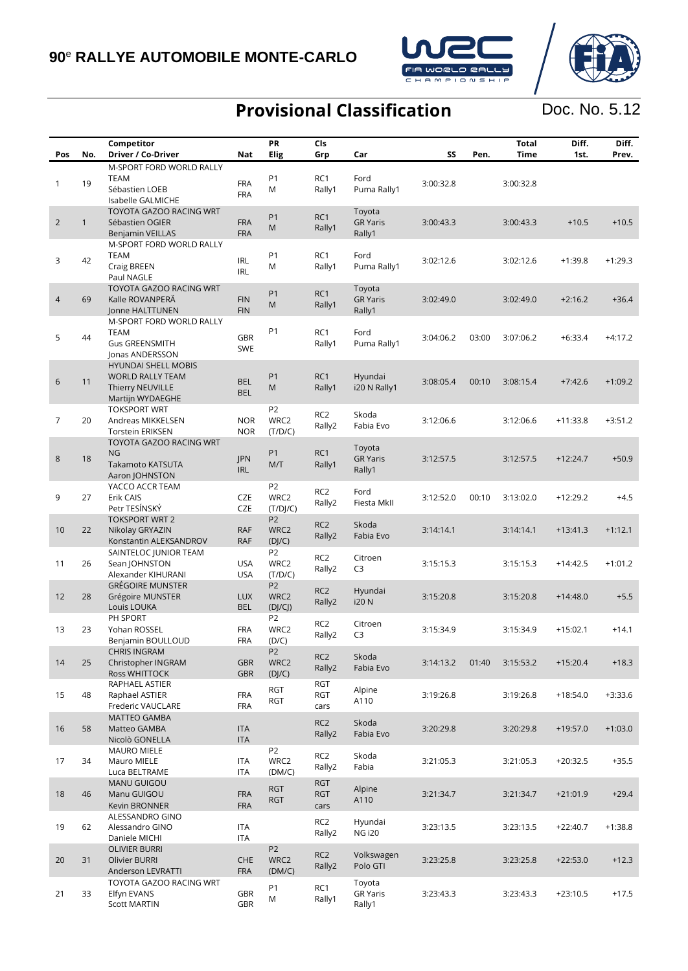16 58

17 34

18 46

19 62

20 31

21 33

Raphael ASTIER Frederic VAUCLARE

MATTEO GAMBA Matteo GAMBA Nicolò GONELLA

MAURO MIELE Mauro MIELE Luca BELTRAME

MANU GUIGOU Manu GUIGOU Kevin BRONNER

OLIVIER BURRI Olivier BURRI Anderson LEVRATTI

Elfyn EVANS Scott MARTIN

ALESSANDRO GINO Alessandro GINO Daniele MICHI

TOYOTA GAZOO RACING WRT

FRA FRA

ITA ITA

ITA ITA

FRA FRA

ITA ITA

CHE FRA

GBR GBR

P2 WRC2 (DM/C)

RGT RGT

P2 WRC2 (DM/C)

P1 M

RGT cars

RC2 Rally2

RC2 Rally2

RGT RGT cars

RC2 Rally2

RC2 Rally2

RC1 Rally1 Skoda

Skoda

Alpine

Hyundai

Volkswagen

Toyota GR Yaris Rally1



Fabia Evo 3:20:29.8 3:20:29.8 +19:57.0 +1:03.0

Fabia 3:21:05.3 3:21:05.3 +20:32.5 +35.5

A110 3:21:34.7 3:21:34.7 +21:01.9 +29.4

NG i20 3:23:13.5 3:23:13.5 +22:40.7 +1:38.8

Polo GTI 3:23:25.8 3:23:25.8 +22:53.0 +12.3

3:23:43.3 3:23:43.3 +23:10.5 +17.5

## Doc. No. 5.12

### **Provisional Classification**

|                |              | Competitor                                                                             |                          | PR                                 | Cls                       |                                     |           |       | <b>Total</b> | Diff.      | Diff.     |
|----------------|--------------|----------------------------------------------------------------------------------------|--------------------------|------------------------------------|---------------------------|-------------------------------------|-----------|-------|--------------|------------|-----------|
| Pos            | No.          | Driver / Co-Driver                                                                     | Nat                      | <b>Elig</b>                        | Grp                       | Car                                 | SS        | Pen.  | <b>Time</b>  | 1st.       | Prev.     |
| $\mathbf{1}$   | 19           | M-SPORT FORD WORLD RALLY<br><b>TEAM</b><br>Sébastien LOEB<br>Isabelle GALMICHE         | <b>FRA</b><br><b>FRA</b> | P <sub>1</sub><br>M                | RC1<br>Rally1             | Ford<br>Puma Rally1                 | 3:00:32.8 |       | 3:00:32.8    |            |           |
| $\overline{2}$ | $\mathbf{1}$ | TOYOTA GAZOO RACING WRT<br>Sébastien OGIER<br><b>Benjamin VEILLAS</b>                  | <b>FRA</b><br><b>FRA</b> | P <sub>1</sub><br>M                | RC <sub>1</sub><br>Rally1 | Toyota<br><b>GR Yaris</b><br>Rally1 | 3:00:43.3 |       | 3:00:43.3    | $+10.5$    | $+10.5$   |
| 3              | 42           | M-SPORT FORD WORLD RALLY<br><b>TEAM</b><br>Craig BREEN<br>Paul NAGLE                   | <b>IRL</b><br><b>IRL</b> | <b>P1</b><br>M                     | RC <sub>1</sub><br>Rally1 | Ford<br>Puma Rally1                 | 3:02:12.6 |       | 3:02:12.6    | $+1:39.8$  | $+1:29.3$ |
| $\overline{4}$ | 69           | TOYOTA GAZOO RACING WRT<br>Kalle ROVANPERA<br>Jonne HALTTUNEN                          | <b>FIN</b><br><b>FIN</b> | P <sub>1</sub><br>M                | RC <sub>1</sub><br>Rally1 | Toyota<br><b>GR Yaris</b><br>Rally1 | 3:02:49.0 |       | 3:02:49.0    | $+2:16.2$  | $+36.4$   |
| 5              | 44           | M-SPORT FORD WORLD RALLY<br>TEAM<br><b>Gus GREENSMITH</b><br>Jonas ANDERSSON           | <b>GBR</b><br><b>SWE</b> | P <sub>1</sub>                     | RC1<br>Rally1             | Ford<br>Puma Rally1                 | 3:04:06.2 | 03:00 | 3:07:06.2    | $+6:33.4$  | $+4:17.2$ |
| 6              | 11           | HYUNDAI SHELL MOBIS<br><b>WORLD RALLY TEAM</b><br>Thierry NEUVILLE<br>Martijn WYDAEGHE | <b>BEL</b><br><b>BEL</b> | P1<br>M                            | RC1<br>Rally1             | Hyundai<br>i20 N Rally1             | 3:08:05.4 | 00:10 | 3:08:15.4    | $+7:42.6$  | $+1:09.2$ |
| $\overline{7}$ | 20           | <b>TOKSPORT WRT</b><br>Andreas MIKKELSEN<br><b>Torstein ERIKSEN</b>                    | <b>NOR</b><br><b>NOR</b> | P <sub>2</sub><br>WRC2<br>(T/D/C)  | RC <sub>2</sub><br>Rally2 | Skoda<br>Fabia Evo                  | 3:12:06.6 |       | 3:12:06.6    | $+11:33.8$ | $+3:51.2$ |
| 8              | 18           | TOYOTA GAZOO RACING WRT<br>NG<br>Takamoto KATSUTA<br>Aaron JOHNSTON                    | JPN<br><b>IRL</b>        | P <sub>1</sub><br>M/T              | RC <sub>1</sub><br>Rally1 | Toyota<br><b>GR Yaris</b><br>Rally1 | 3:12:57.5 |       | 3:12:57.5    | $+12:24.7$ | $+50.9$   |
| 9              | 27           | YACCO ACCR TEAM<br>Erik CAIS<br>Petr TESÍNSKÝ                                          | CZE<br><b>CZE</b>        | P <sub>2</sub><br>WRC2<br>(T/D]/C) | RC <sub>2</sub><br>Rally2 | Ford<br>Fiesta MkII                 | 3:12:52.0 | 00:10 | 3:13:02.0    | $+12:29.2$ | $+4.5$    |
| 10             | 22           | <b>TOKSPORT WRT 2</b><br>Nikolay GRYAZIN<br>Konstantin ALEKSANDROV                     | <b>RAF</b><br><b>RAF</b> | P <sub>2</sub><br>WRC2<br>(D]/C)   | RC <sub>2</sub><br>Rally2 | Skoda<br>Fabia Evo                  | 3:14:14.1 |       | 3:14:14.1    | $+13:41.3$ | $+1:12.1$ |
| 11             | 26           | SAINTELOC JUNIOR TEAM<br>Sean JOHNSTON<br>Alexander KIHURANI                           | <b>USA</b><br><b>USA</b> | P <sub>2</sub><br>WRC2<br>(T/D/C)  | RC <sub>2</sub><br>Rally2 | Citroen<br>C <sub>3</sub>           | 3:15:15.3 |       | 3:15:15.3    | $+14:42.5$ | $+1:01.2$ |
| 12             | 28           | <b>GRÉGOIRE MUNSTER</b><br>Grégoire MUNSTER<br>Louis LOUKA                             | <b>LUX</b><br><b>BEL</b> | P <sub>2</sub><br>WRC2<br>(DJ/CJ)  | RC <sub>2</sub><br>Rally2 | Hyundai<br><b>i20 N</b>             | 3:15:20.8 |       | 3:15:20.8    | $+14:48.0$ | $+5.5$    |
| 13             | 23           | PH SPORT<br>Yohan ROSSEL<br>Benjamin BOULLOUD                                          | <b>FRA</b><br><b>FRA</b> | P <sub>2</sub><br>WRC2<br>(D/C)    | RC <sub>2</sub><br>Rally2 | Citroen<br>C <sub>3</sub>           | 3:15:34.9 |       | 3:15:34.9    | $+15:02.1$ | $+14.1$   |
| 14             | 25           | <b>CHRIS INGRAM</b><br>Christopher INGRAM<br>Ross WHITTOCK                             | <b>GBR</b><br><b>GBR</b> | P <sub>2</sub><br>WRC2<br>(DJ/C)   | RC <sub>2</sub><br>Rally2 | Skoda<br>Fabia Evo                  | 3:14:13.2 | 01:40 | 3:15:53.2    | $+15:20.4$ | $+18.3$   |
| 15             | 48           | RAPHAEL ASTIER<br>Raphael ASTIER                                                       | <b>FRA</b>               | <b>RGT</b><br><b>RGT</b>           | <b>RGT</b><br><b>RGT</b>  | Alpine<br>A110                      | 3:19:26.8 |       | 3:19:26.8    | $+18:54.0$ | $+3:33.6$ |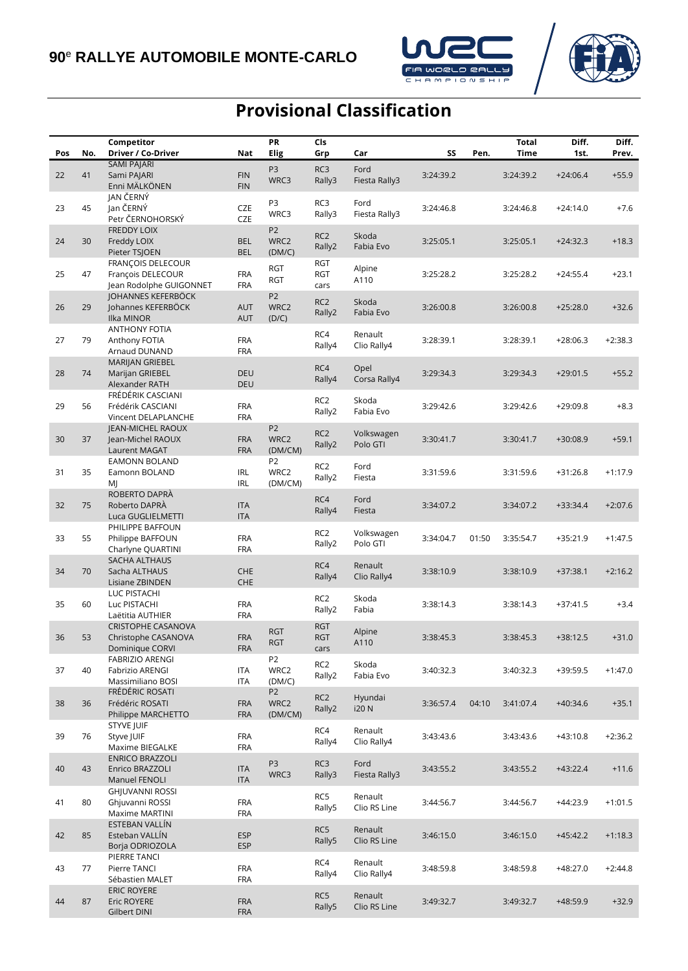



# **Provisional Classification**

|     |     | Competitor                                                           |                          | PR                                | Cls                               |                         |           |       | <b>Total</b> | Diff.      | Diff.     |
|-----|-----|----------------------------------------------------------------------|--------------------------|-----------------------------------|-----------------------------------|-------------------------|-----------|-------|--------------|------------|-----------|
| Pos | No. | Driver / Co-Driver                                                   | Nat                      | Elig                              | Grp                               | Car                     | SS        | Pen.  | Time         | 1st.       | Prev.     |
| 22  | 41  | SAMI PAJARI<br>Sami PAJARI<br>Enni MÄLKÖNEN                          | <b>FIN</b><br><b>FIN</b> | P <sub>3</sub><br>WRC3            | RC3<br>Rally3                     | Ford<br>Fiesta Rally3   | 3:24:39.2 |       | 3:24:39.2    | $+24:06.4$ | $+55.9$   |
| 23  | 45  | JAN ČERNÝ<br>Jan ČERNÝ<br>Petr ČERNOHORSKÝ                           | CZE<br><b>CZE</b>        | P3<br>WRC3                        | RC3<br>Rally3                     | Ford<br>Fiesta Rally3   | 3:24:46.8 |       | 3:24:46.8    | $+24:14.0$ | $+7.6$    |
| 24  | 30  | <b>FREDDY LOIX</b><br>Freddy LOIX<br>Pieter TSJOEN                   | <b>BEL</b><br><b>BEL</b> | P <sub>2</sub><br>WRC2<br>(DM/C)  | RC <sub>2</sub><br>Rally2         | Skoda<br>Fabia Evo      | 3:25:05.1 |       | 3:25:05.1    | $+24:32.3$ | $+18.3$   |
| 25  | 47  | FRANÇOIS DELECOUR<br>François DELECOUR                               | <b>FRA</b><br><b>FRA</b> | <b>RGT</b><br><b>RGT</b>          | <b>RGT</b><br><b>RGT</b>          | Alpine<br>A110          | 3:25:28.2 |       | 3:25:28.2    | $+24:55.4$ | $+23.1$   |
| 26  | 29  | Jean Rodolphe GUIGONNET<br>JOHANNES KEFERBÖCK<br>Johannes KEFERBÖCK  | <b>AUT</b>               | P <sub>2</sub><br>WRC2            | cars<br>RC <sub>2</sub><br>Rally2 | Skoda<br>Fabia Evo      | 3:26:00.8 |       | 3:26:00.8    | $+25:28.0$ | $+32.6$   |
| 27  | 79  | Ilka MINOR<br><b>ANTHONY FOTIA</b><br>Anthony FOTIA                  | <b>AUT</b><br><b>FRA</b> | (D/C)                             | RC4<br>Rally4                     | Renault<br>Clio Rally4  | 3:28:39.1 |       | 3:28:39.1    | $+28:06.3$ | $+2:38.3$ |
| 28  | 74  | Arnaud DUNAND<br>MARIJAN GRIEBEL<br>Marijan GRIEBEL                  | <b>FRA</b><br><b>DEU</b> |                                   | RC4<br>Rally4                     | Opel<br>Corsa Rally4    | 3:29:34.3 |       | 3:29:34.3    | $+29:01.5$ | $+55.2$   |
| 29  | 56  | Alexander RATH<br>FRÉDÉRIK CASCIANI<br>Frédérik CASCIANI             | <b>DEU</b><br><b>FRA</b> |                                   | RC <sub>2</sub>                   | Skoda                   | 3:29:42.6 |       | 3:29:42.6    | $+29:09.8$ | $+8.3$    |
| 30  | 37  | Vincent DELAPLANCHE<br><b>IEAN-MICHEL RAOUX</b><br>Jean-Michel RAOUX | <b>FRA</b><br><b>FRA</b> | P <sub>2</sub><br>WRC2            | Rally2<br>RC <sub>2</sub>         | Fabia Evo<br>Volkswagen | 3:30:41.7 |       | 3:30:41.7    | $+30:08.9$ | $+59.1$   |
|     |     | Laurent MAGAT<br><b>EAMONN BOLAND</b>                                | <b>FRA</b>               | (DM/CM)<br>P <sub>2</sub>         | Rally2<br>RC <sub>2</sub>         | Polo GTI<br>Ford        |           |       |              |            |           |
| 31  | 35  | Eamonn BOLAND<br>MJ<br>ROBERTO DAPRÀ                                 | <b>IRL</b><br><b>IRL</b> | WRC2<br>(DM/CM)                   | Rally2<br>RC4                     | Fiesta<br>Ford          | 3:31:59.6 |       | 3:31:59.6    | $+31:26.8$ | $+1:17.9$ |
| 32  | 75  | Roberto DAPRÀ<br>Luca GUGLIELMETTI<br>PHILIPPE BAFFOUN               | <b>ITA</b><br><b>ITA</b> |                                   | Rally4                            | Fiesta                  | 3:34:07.2 |       | 3:34:07.2    | $+33:34.4$ | $+2:07.6$ |
| 33  | 55  | Philippe BAFFOUN<br>Charlyne QUARTINI                                | <b>FRA</b><br><b>FRA</b> |                                   | RC <sub>2</sub><br>Rally2         | Volkswagen<br>Polo GTI  | 3:34:04.7 | 01:50 | 3:35:54.7    | $+35:21.9$ | $+1:47.5$ |
| 34  | 70  | SACHA ALTHAUS<br>Sacha ALTHAUS<br>Lisiane ZBINDEN                    | CHE<br>CHE               |                                   | RC4<br>Rally4                     | Renault<br>Clio Rally4  | 3:38:10.9 |       | 3:38:10.9    | $+37:38.1$ | $+2:16.2$ |
| 35  | 60  | LUC PISTACHI<br>Luc PISTACHI<br>Laëtitia AUTHIER                     | <b>FRA</b><br><b>FRA</b> |                                   | RC <sub>2</sub><br>Rally2         | Skoda<br>Fabia          | 3:38:14.3 |       | 3:38:14.3    | $+37:41.5$ | $+3.4$    |
| 36  | 53  | <b>CRISTOPHE CASANOVA</b><br>Christophe CASANOVA<br>Dominique CORVI  | <b>FRA</b><br>FRA        | <b>RGT</b><br><b>RGT</b>          | <b>RGT</b><br><b>RGT</b><br>cars  | Alpine<br>A110          | 3:38:45.3 |       | 3:38:45.3    | $+38:12.5$ | $+31.0$   |
| 37  | 40  | <b>FABRIZIO ARENGI</b><br>Fabrizio ARENGI<br>Massimiliano BOSI       | <b>ITA</b><br>ITA        | P <sub>2</sub><br>WRC2<br>(DM/C)  | RC <sub>2</sub><br>Rally2         | Skoda<br>Fabia Evo      | 3:40:32.3 |       | 3:40:32.3    | +39:59.5   | $+1:47.0$ |
| 38  | 36  | FRÉDÉRIC ROSATI<br>Frédéric ROSATI<br>Philippe MARCHETTO             | <b>FRA</b><br><b>FRA</b> | P <sub>2</sub><br>WRC2<br>(DM/CM) | RC <sub>2</sub><br>Rally2         | Hyundai<br><b>i20N</b>  | 3:36:57.4 | 04:10 | 3:41:07.4    | $+40:34.6$ | $+35.1$   |
| 39  | 76  | STYVE JUIF<br>Styve JUIF<br>Maxime BIEGALKE                          | <b>FRA</b><br><b>FRA</b> |                                   | RC4<br>Rally4                     | Renault<br>Clio Rally4  | 3:43:43.6 |       | 3:43:43.6    | $+43:10.8$ | $+2:36.2$ |
| 40  | 43  | <b>ENRICO BRAZZOLI</b><br>Enrico BRAZZOLI<br>Manuel FENOLI           | <b>ITA</b><br><b>ITA</b> | P <sub>3</sub><br>WRC3            | RC3<br>Rally3                     | Ford<br>Fiesta Rally3   | 3:43:55.2 |       | 3:43:55.2    | $+43:22.4$ | $+11.6$   |
| 41  | 80  | <b>GHJUVANNI ROSSI</b><br>Ghjuvanni ROSSI<br>Maxime MARTINI          | <b>FRA</b><br><b>FRA</b> |                                   | RC5<br>Rally5                     | Renault<br>Clio RS Line | 3:44:56.7 |       | 3:44:56.7    | +44:23.9   | $+1:01.5$ |
| 42  | 85  | ESTEBAN VALLÍN<br>Esteban VALLÍN<br>Borja ODRIOZOLA                  | <b>ESP</b><br><b>ESP</b> |                                   | RC5<br>Rally5                     | Renault<br>Clio RS Line | 3:46:15.0 |       | 3:46:15.0    | $+45:42.2$ | $+1:18.3$ |
| 43  | 77  | PIERRE TANCI<br>Pierre TANCI<br>Sébastien MALET                      | <b>FRA</b><br><b>FRA</b> |                                   | RC4<br>Rally4                     | Renault<br>Clio Rally4  | 3:48:59.8 |       | 3:48:59.8    | $+48:27.0$ | $+2:44.8$ |
| 44  | 87  | <b>ERIC ROYERE</b><br>Eric ROYERE<br>Gilbert DINI                    | <b>FRA</b><br><b>FRA</b> |                                   | RC5<br>Rally5                     | Renault<br>Clio RS Line | 3:49:32.7 |       | 3:49:32.7    | $+48:59.9$ | $+32.9$   |